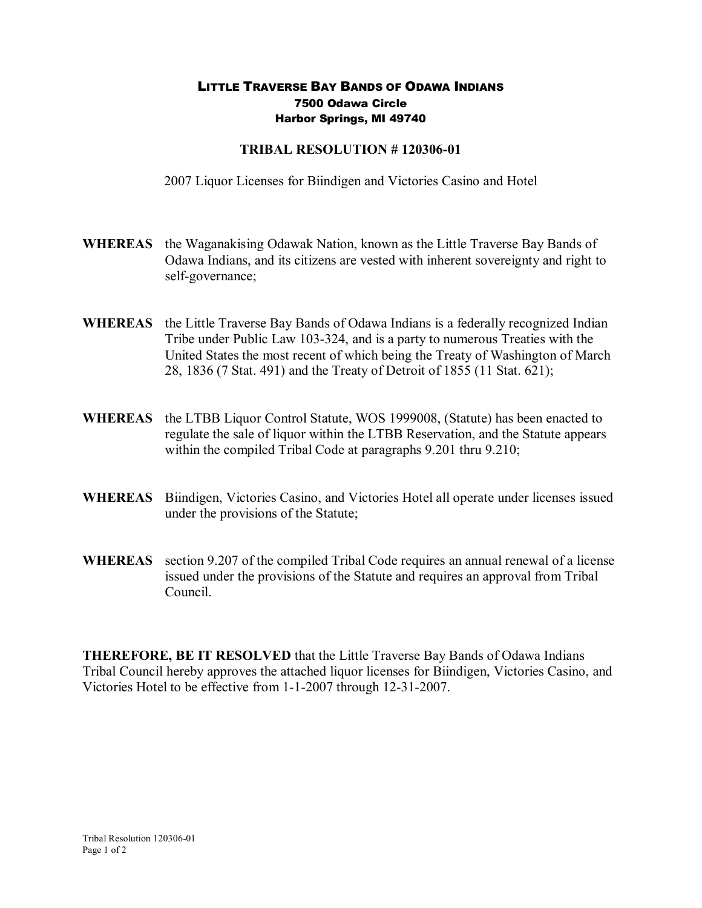## LITTLE TRAVERSE BAY BANDS OF ODAWA INDIANS 7500 Odawa Circle Harbor Springs, MI 49740

## **TRIBAL RESOLUTION #120306-01**

2007 Liquor Licenses for Biindigen and Victories Casino and Hotel

- **WHEREAS** the Waganakising Odawak Nation, known as the Little Traverse Bay Bands of Odawa Indians, and its citizens are vested with inherent sovereignty and right to self-governance;
- **WHEREAS** the Little Traverse Bay Bands of Odawa Indians is a federally recognized Indian Tribe under Public Law 103-324, and is a party to numerous Treaties with the United States the most recent of which being the Treaty of Washington of March 28, 1836 (7 Stat. 491) and the Treaty of Detroit of 1855 (11 Stat. 621);
- **WHEREAS** the LTBB Liquor Control Statute, WOS 1999008, (Statute) has been enacted to regulate the sale of liquor within the LTBB Reservation, and the Statute appears within the compiled Tribal Code at paragraphs 9.201 thru 9.210;
- **WHEREAS** Biindigen, Victories Casino, and Victories Hotel all operate under licenses issued under the provisions of the Statute;
- **WHEREAS** section 9.207 of the compiled Tribal Code requires an annual renewal of a license issued under the provisions of the Statute and requires an approval from Tribal Council.

**THEREFORE, BE IT RESOLVED** that the Little Traverse Bay Bands of Odawa Indians Tribal Council hereby approves the attached liquor licenses for Biindigen, Victories Casino, and Victories Hotel to be effective from 1-1-2007 through 12-31-2007.